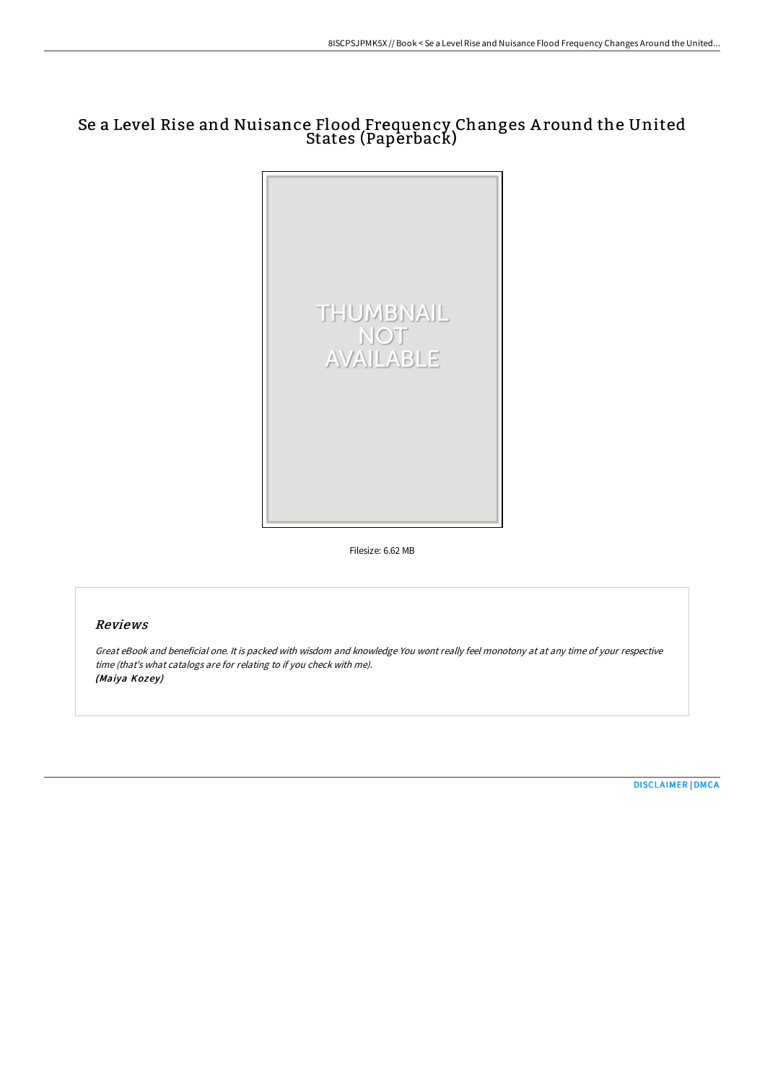## Se a Level Rise and Nuisance Flood Frequency Changes A round the United States (Paperback)



Filesize: 6.62 MB

## Reviews

Great eBook and beneficial one. It is packed with wisdom and knowledge You wont really feel monotony at at any time of your respective time (that's what catalogs are for relating to if you check with me). (Maiya Kozey)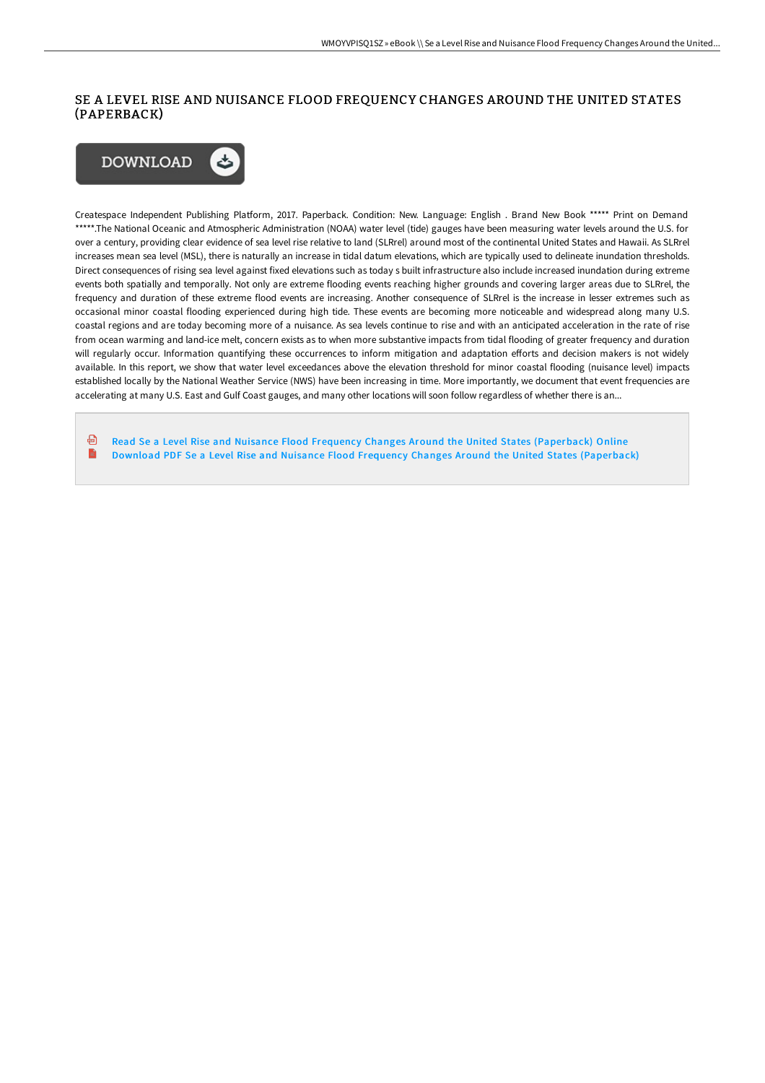## SE A LEVEL RISE AND NUISANCE FLOOD FREQUENCY CHANGES AROUND THE UNITED STATES (PAPERBACK)



Createspace Independent Publishing Platform, 2017. Paperback. Condition: New. Language: English . Brand New Book \*\*\*\*\* Print on Demand \*\*\*\*\*.The National Oceanic and Atmospheric Administration (NOAA) water level (tide) gauges have been measuring water levels around the U.S. for over a century, providing clear evidence of sea level rise relative to land (SLRrel) around most of the continental United States and Hawaii. As SLRrel increases mean sea level (MSL), there is naturally an increase in tidal datum elevations, which are typically used to delineate inundation thresholds. Direct consequences of rising sea level against fixed elevations such as today s built infrastructure also include increased inundation during extreme events both spatially and temporally. Not only are extreme flooding events reaching higher grounds and covering larger areas due to SLRrel, the frequency and duration of these extreme flood events are increasing. Another consequence of SLRrel is the increase in lesser extremes such as occasional minor coastal flooding experienced during high tide. These events are becoming more noticeable and widespread along many U.S. coastal regions and are today becoming more of a nuisance. As sea levels continue to rise and with an anticipated acceleration in the rate of rise from ocean warming and land-ice melt, concern exists as to when more substantive impacts from tidal flooding of greater frequency and duration will regularly occur. Information quantifying these occurrences to inform mitigation and adaptation efforts and decision makers is not widely available. In this report, we show that water level exceedances above the elevation threshold for minor coastal flooding (nuisance level) impacts established locally by the National Weather Service (NWS) have been increasing in time. More importantly, we document that event frequencies are accelerating at many U.S. East and Gulf Coast gauges, and many other locations will soon follow regardless of whether there is an...

Read Se a Level Rise and Nuisance Flood Frequency Changes Around the United States [\(Paperback\)](http://bookera.tech/se-a-level-rise-and-nuisance-flood-frequency-cha.html) Online 品 Download PDF Se a Level Rise and Nuisance Flood Frequency Changes Around the United States [\(Paperback\)](http://bookera.tech/se-a-level-rise-and-nuisance-flood-frequency-cha.html)B